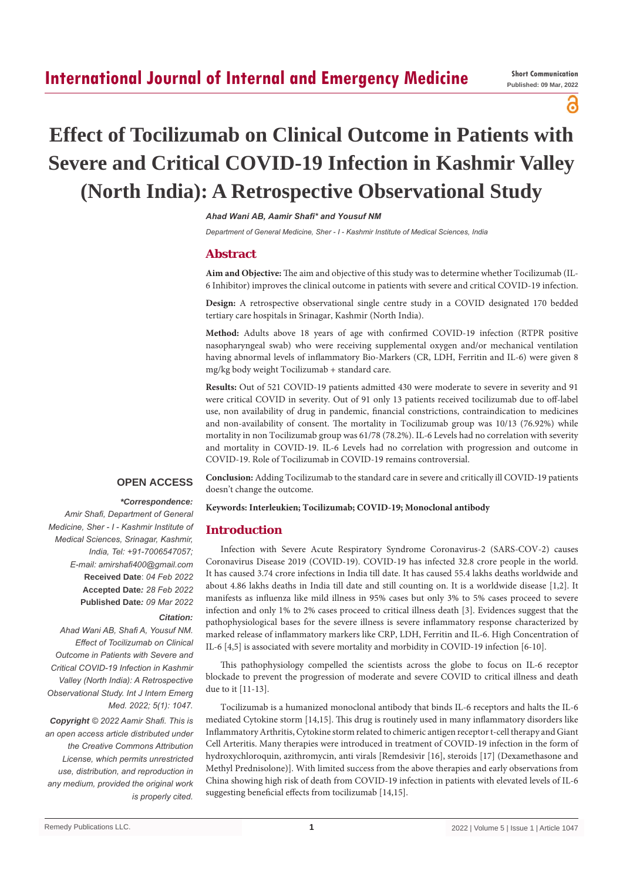പ്പ

# **Effect of Tocilizumab on Clinical Outcome in Patients with Severe and Critical COVID-19 Infection in Kashmir Valley (North India): A Retrospective Observational Study**

*Ahad Wani AB, Aamir Shafi\* and Yousuf NM*

*Department of General Medicine, Sher - I - Kashmir Institute of Medical Sciences, India*

# **Abstract**

**Aim and Objective:** The aim and objective of this study was to determine whether Tocilizumab (IL-6 Inhibitor) improves the clinical outcome in patients with severe and critical COVID-19 infection.

**Design:** A retrospective observational single centre study in a COVID designated 170 bedded tertiary care hospitals in Srinagar, Kashmir (North India).

**Method:** Adults above 18 years of age with confirmed COVID-19 infection (RTPR positive nasopharyngeal swab) who were receiving supplemental oxygen and/or mechanical ventilation having abnormal levels of inflammatory Bio-Markers (CR, LDH, Ferritin and IL-6) were given 8 mg/kg body weight Tocilizumab + standard care.

**Results:** Out of 521 COVID-19 patients admitted 430 were moderate to severe in severity and 91 were critical COVID in severity. Out of 91 only 13 patients received tocilizumab due to off-label use, non availability of drug in pandemic, financial constrictions, contraindication to medicines and non-availability of consent. The mortality in Tocilizumab group was 10/13 (76.92%) while mortality in non Tocilizumab group was 61/78 (78.2%). IL-6 Levels had no correlation with severity and mortality in COVID-19. IL-6 Levels had no correlation with progression and outcome in COVID-19. Role of Tocilizumab in COVID-19 remains controversial.

## **OPEN ACCESS**

## *\*Correspondence:*

*Amir Shafi, Department of General Medicine, Sher - I - Kashmir Institute of Medical Sciences, Srinagar, Kashmir, India, Tel: +91-7006547057; E-mail: amirshafi400@gmail.com* **Received Date**: *04 Feb 2022* **Accepted Date***: 28 Feb 2022* **Published Date***: 09 Mar 2022*

#### *Citation:*

*Ahad Wani AB, Shafi A, Yousuf NM. Effect of Tocilizumab on Clinical Outcome in Patients with Severe and Critical COVID-19 Infection in Kashmir Valley (North India): A Retrospective Observational Study. Int J Intern Emerg Med. 2022; 5(1): 1047.*

*Copyright © 2022 Aamir Shafi. This is an open access article distributed under the Creative Commons Attribution License, which permits unrestricted use, distribution, and reproduction in any medium, provided the original work is properly cited.*

**Conclusion:** Adding Tocilizumab to the standard care in severe and critically ill COVID-19 patients doesn't change the outcome.

#### **Keywords: Interleukien; Tocilizumab; COVID-19; Monoclonal antibody**

# **Introduction**

Infection with Severe Acute Respiratory Syndrome Coronavirus-2 (SARS-COV-2) causes Coronavirus Disease 2019 (COVID-19). COVID-19 has infected 32.8 crore people in the world. It has caused 3.74 crore infections in India till date. It has caused 55.4 lakhs deaths worldwide and about 4.86 lakhs deaths in India till date and still counting on. It is a worldwide disease [1,2]. It manifests as influenza like mild illness in 95% cases but only 3% to 5% cases proceed to severe infection and only 1% to 2% cases proceed to critical illness death [3]. Evidences suggest that the pathophysiological bases for the severe illness is severe inflammatory response characterized by marked release of inflammatory markers like CRP, LDH, Ferritin and IL-6. High Concentration of IL-6 [4,5] is associated with severe mortality and morbidity in COVID-19 infection [6-10].

This pathophysiology compelled the scientists across the globe to focus on IL-6 receptor blockade to prevent the progression of moderate and severe COVID to critical illness and death due to it [11-13].

Tocilizumab is a humanized monoclonal antibody that binds IL-6 receptors and halts the IL-6 mediated Cytokine storm [14,15]. This drug is routinely used in many inflammatory disorders like Inflammatory Arthritis, Cytokine storm related to chimeric antigen receptor t-cell therapy and Giant Cell Arteritis. Many therapies were introduced in treatment of COVID-19 infection in the form of hydroxychloroquin, azithromycin, anti virals [Remdesivir [16], steroids [17] (Dexamethasone and Methyl Prednisolone)]. With limited success from the above therapies and early observations from China showing high risk of death from COVID-19 infection in patients with elevated levels of IL-6 suggesting beneficial effects from tocilizumab [14,15].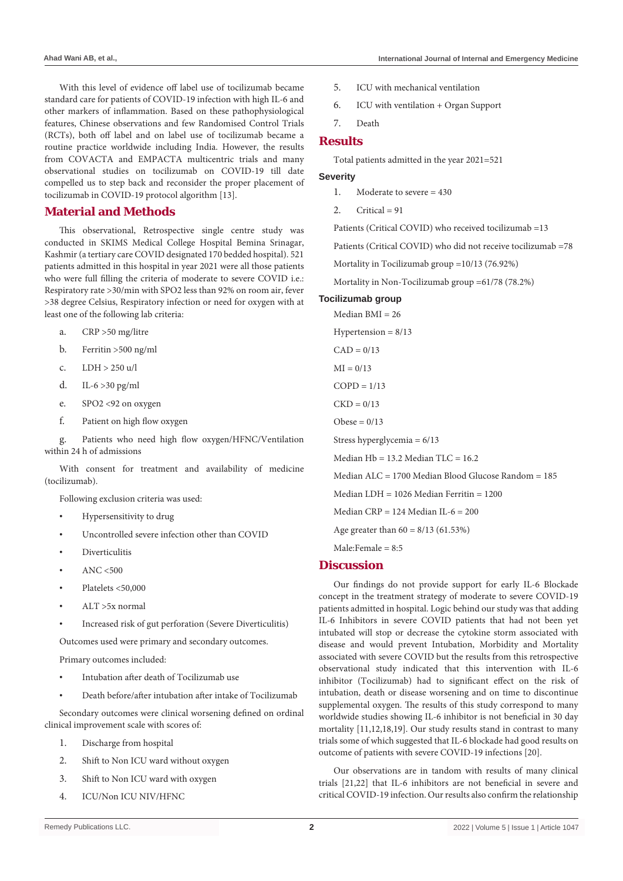With this level of evidence off label use of tocilizumab became standard care for patients of COVID-19 infection with high IL-6 and other markers of inflammation. Based on these pathophysiological features, Chinese observations and few Randomised Control Trials (RCTs), both off label and on label use of tocilizumab became a routine practice worldwide including India. However, the results from COVACTA and EMPACTA multicentric trials and many observational studies on tocilizumab on COVID-19 till date compelled us to step back and reconsider the proper placement of tocilizumab in COVID-19 protocol algorithm [13].

# **Material and Methods**

This observational, Retrospective single centre study was conducted in SKIMS Medical College Hospital Bemina Srinagar, Kashmir (a tertiary care COVID designated 170 bedded hospital). 521 patients admitted in this hospital in year 2021 were all those patients who were full filling the criteria of moderate to severe COVID i.e.: Respiratory rate >30/min with SPO2 less than 92% on room air, fever >38 degree Celsius, Respiratory infection or need for oxygen with at least one of the following lab criteria:

- a. CRP >50 mg/litre
- b. Ferritin >500 ng/ml
- c. LDH > 250 u/l
- d. IL-6 >30 pg/ml
- e. SPO2 <92 on oxygen
- f. Patient on high flow oxygen

g. Patients who need high flow oxygen/HFNC/Ventilation within 24 h of admissions

With consent for treatment and availability of medicine (tocilizumab).

Following exclusion criteria was used:

- Hypersensitivity to drug
- Uncontrolled severe infection other than COVID
- **Diverticulitis**
- $ANC < 500$
- Platelets <50,000
- $ALT > 5x$  normal
- Increased risk of gut perforation (Severe Diverticulitis)

Outcomes used were primary and secondary outcomes.

Primary outcomes included:

- Intubation after death of Tocilizumab use
- Death before/after intubation after intake of Tocilizumab

Secondary outcomes were clinical worsening defined on ordinal clinical improvement scale with scores of:

- 1. Discharge from hospital
- 2. Shift to Non ICU ward without oxygen
- 3. Shift to Non ICU ward with oxygen
- 4. ICU/Non ICU NIV/HFNC
- 
- 5. ICU with mechanical ventilation
- 6. ICU with ventilation + Organ Support
- 7. Death
- **Results**

Total patients admitted in the year 2021=521

#### **Severity**

- 1 Moderate to severe  $= 430$
- $2$  Critical = 91

Patients (Critical COVID) who received tocilizumab =13

Patients (Critical COVID) who did not receive tocilizumab =78

Mortality in Tocilizumab group =10/13 (76.92%)

Mortality in Non-Tocilizumab group =61/78 (78.2%)

#### **Tocilizumab group**

Median BMI = 26 Hypertension  $= 8/13$ 

 $CAD = 0/13$ 

 $MI = 0/13$ 

 $COPD = 1/13$ 

 $CKD = 0/13$ 

Obese  $= 0/13$ 

Stress hyperglycemia = 6/13

Median  $Hb = 13.2$  Median  $TLC = 16.2$ 

Median ALC = 1700 Median Blood Glucose Random = 185

Median LDH = 1026 Median Ferritin = 1200

Median  $CRP = 124$  Median IL-6 = 200

Age greater than  $60 = 8/13$  (61.53%)

Male:Female =  $8.5$ 

# **Discussion**

Our findings do not provide support for early IL-6 Blockade concept in the treatment strategy of moderate to severe COVID-19 patients admitted in hospital. Logic behind our study was that adding IL-6 Inhibitors in severe COVID patients that had not been yet intubated will stop or decrease the cytokine storm associated with disease and would prevent Intubation, Morbidity and Mortality associated with severe COVID but the results from this retrospective observational study indicated that this intervention with IL-6 inhibitor (Tocilizumab) had to significant effect on the risk of intubation, death or disease worsening and on time to discontinue supplemental oxygen. The results of this study correspond to many worldwide studies showing IL-6 inhibitor is not beneficial in 30 day mortality [11,12,18,19]. Our study results stand in contrast to many trials some of which suggested that IL-6 blockade had good results on outcome of patients with severe COVID-19 infections [20].

Our observations are in tandom with results of many clinical trials [21,22] that IL-6 inhibitors are not beneficial in severe and critical COVID-19 infection. Our results also confirm the relationship